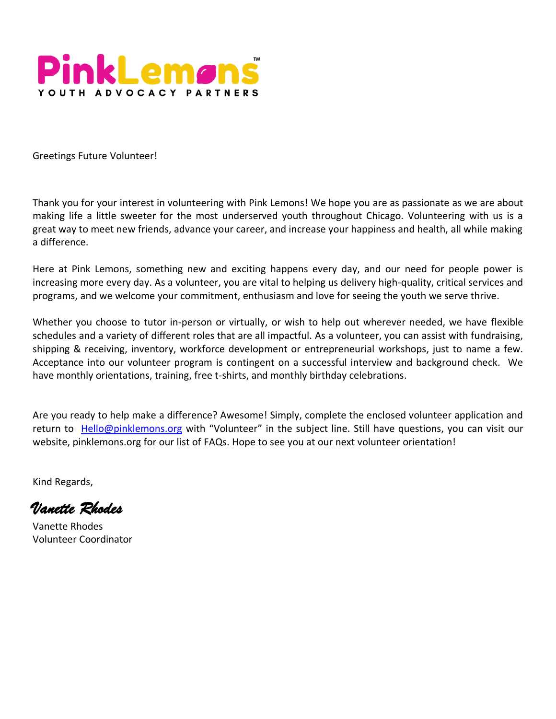

Greetings Future Volunteer!

Thank you for your interest in volunteering with Pink Lemons! We hope you are as passionate as we are about making life a little sweeter for the most underserved youth throughout Chicago. Volunteering with us is a great way to meet new friends, advance your career, and increase your happiness and health, all while making a difference.

Here at Pink Lemons, something new and exciting happens every day, and our need for people power is increasing more every day. As a volunteer, you are vital to helping us delivery high-quality, critical services and programs, and we welcome your commitment, enthusiasm and love for seeing the youth we serve thrive.

Whether you choose to tutor in-person or virtually, or wish to help out wherever needed, we have flexible schedules and a variety of different roles that are all impactful. As a volunteer, you can assist with fundraising, shipping & receiving, inventory, workforce development or entrepreneurial workshops, just to name a few. Acceptance into our volunteer program is contingent on a successful interview and background check. We have monthly orientations, training, free t-shirts, and monthly birthday celebrations.

Are you ready to help make a difference? Awesome! Simply, complete the enclosed volunteer application and return to [Hello@pinklemons.org](mailto:Hello@pinklemons.org) with "Volunteer" in the subject line. Still have questions, you can visit our website, pinklemons.org for our list of FAQs. Hope to see you at our next volunteer orientation!

Kind Regards,

*Vanette Rhodes* 

Vanette Rhodes Volunteer Coordinator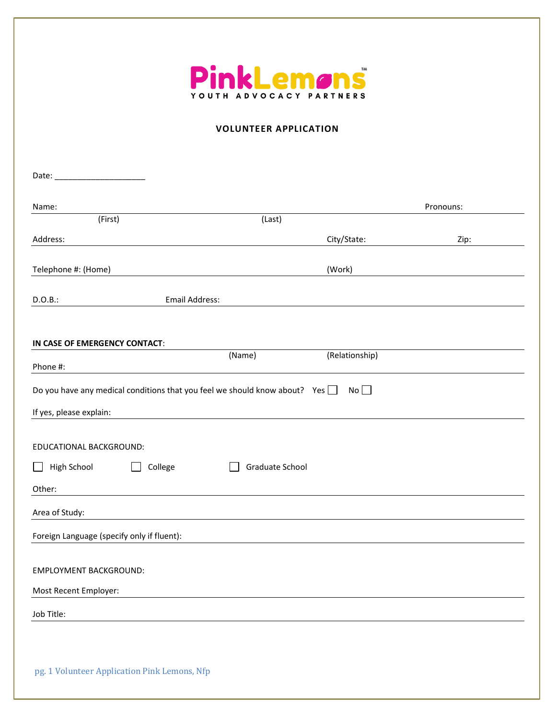

## **VOLUNTEER APPLICATION**

| Name:                                                                             |                          | Pronouns: |
|-----------------------------------------------------------------------------------|--------------------------|-----------|
| (First)                                                                           | (Last)                   |           |
| Address:                                                                          | City/State:              | Zip:      |
| Telephone #: (Home)                                                               | (Work)                   |           |
| <b>Email Address:</b><br>D.O.B.:                                                  |                          |           |
| IN CASE OF EMERGENCY CONTACT:                                                     |                          |           |
|                                                                                   | (Relationship)<br>(Name) |           |
| Phone #:                                                                          |                          |           |
| Do you have any medical conditions that you feel we should know about? Yes $\Box$ | No                       |           |
| If yes, please explain:                                                           |                          |           |
|                                                                                   |                          |           |
| EDUCATIONAL BACKGROUND:                                                           |                          |           |
| College<br>High School<br>$\blacksquare$                                          | Graduate School          |           |
| Other:                                                                            |                          |           |
| Area of Study:                                                                    |                          |           |
| Foreign Language (specify only if fluent):                                        |                          |           |
|                                                                                   |                          |           |
| <b>EMPLOYMENT BACKGROUND:</b>                                                     |                          |           |
| Most Recent Employer:                                                             |                          |           |
| Job Title:                                                                        |                          |           |
|                                                                                   |                          |           |
|                                                                                   |                          |           |
| pg. 1 Volunteer Application Pink Lemons, Nfp                                      |                          |           |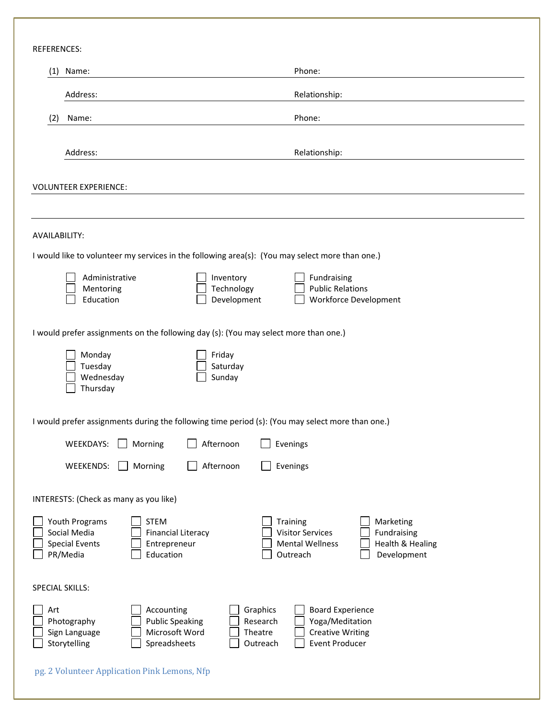REFERENCES:

| Name:<br>(1)                                                                                                                                 |                                             | Phone:                                                                                                                                                     |  |
|----------------------------------------------------------------------------------------------------------------------------------------------|---------------------------------------------|------------------------------------------------------------------------------------------------------------------------------------------------------------|--|
| Address:                                                                                                                                     |                                             | Relationship:                                                                                                                                              |  |
| (2)<br>Name:                                                                                                                                 |                                             | Phone:                                                                                                                                                     |  |
| Address:                                                                                                                                     |                                             | Relationship:                                                                                                                                              |  |
| <b>VOLUNTEER EXPERIENCE:</b>                                                                                                                 |                                             |                                                                                                                                                            |  |
|                                                                                                                                              |                                             |                                                                                                                                                            |  |
| AVAILABILITY:                                                                                                                                |                                             |                                                                                                                                                            |  |
| I would like to volunteer my services in the following area(s): (You may select more than one.)                                              |                                             |                                                                                                                                                            |  |
| Administrative<br>Mentoring<br>Education                                                                                                     | Inventory<br>Technology<br>Development      | Fundraising<br><b>Public Relations</b><br><b>Workforce Development</b>                                                                                     |  |
| I would prefer assignments on the following day (s): (You may select more than one.)                                                         |                                             |                                                                                                                                                            |  |
| Monday<br>Tuesday<br>Wednesday<br>Thursday                                                                                                   | Friday<br>Saturday<br>Sunday                |                                                                                                                                                            |  |
| I would prefer assignments during the following time period (s): (You may select more than one.)                                             |                                             |                                                                                                                                                            |  |
| WEEKDAYS:<br>Morning                                                                                                                         | Afternoon                                   | Evenings                                                                                                                                                   |  |
| WEEKENDS:<br>Morning                                                                                                                         | Afternoon                                   | Evenings                                                                                                                                                   |  |
| INTERESTS: (Check as many as you like)                                                                                                       |                                             |                                                                                                                                                            |  |
| <b>STEM</b><br>Youth Programs<br>Social Media<br><b>Financial Literacy</b><br><b>Special Events</b><br>Entrepreneur<br>PR/Media<br>Education |                                             | Marketing<br><b>Training</b><br><b>Visitor Services</b><br>Fundraising<br><b>Mental Wellness</b><br><b>Health &amp; Healing</b><br>Outreach<br>Development |  |
| SPECIAL SKILLS:                                                                                                                              |                                             |                                                                                                                                                            |  |
| Accounting<br>Art<br><b>Public Speaking</b><br>Photography<br>Microsoft Word<br>Sign Language<br>Spreadsheets<br>Storytelling                | Graphics<br>Research<br>Theatre<br>Outreach | <b>Board Experience</b><br>Yoga/Meditation<br><b>Creative Writing</b><br><b>Event Producer</b>                                                             |  |
| pg. 2 Volunteer Application Pink Lemons, Nfp                                                                                                 |                                             |                                                                                                                                                            |  |